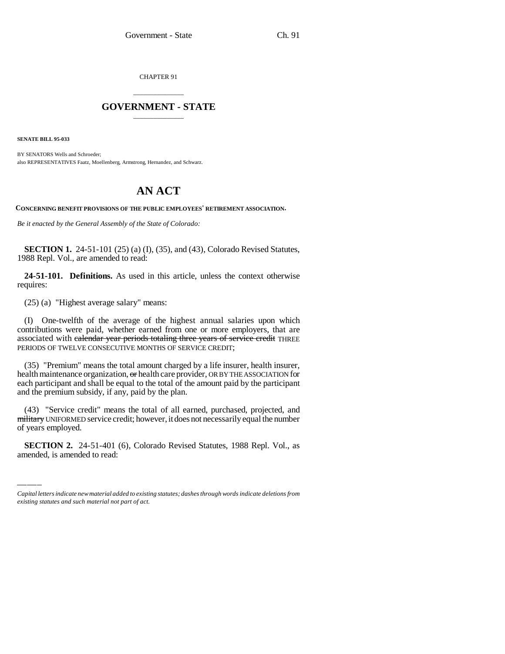CHAPTER 91

## \_\_\_\_\_\_\_\_\_\_\_\_\_\_\_ **GOVERNMENT - STATE** \_\_\_\_\_\_\_\_\_\_\_\_\_\_\_

**SENATE BILL 95-033**

BY SENATORS Wells and Schroeder; also REPRESENTATIVES Faatz, Moellenberg, Armstrong, Hernandez, and Schwarz.

## **AN ACT**

**CONCERNING BENEFIT PROVISIONS OF THE PUBLIC EMPLOYEES' RETIREMENT ASSOCIATION.**

*Be it enacted by the General Assembly of the State of Colorado:*

**SECTION 1.** 24-51-101 (25) (a) (I), (35), and (43), Colorado Revised Statutes, 1988 Repl. Vol., are amended to read:

**24-51-101. Definitions.** As used in this article, unless the context otherwise requires:

(25) (a) "Highest average salary" means:

(I) One-twelfth of the average of the highest annual salaries upon which contributions were paid, whether earned from one or more employers, that are associated with calendar year periods totaling three years of service credit THREE PERIODS OF TWELVE CONSECUTIVE MONTHS OF SERVICE CREDIT;

(35) "Premium" means the total amount charged by a life insurer, health insurer, health maintenance organization, or health care provider, OR BY THE ASSOCIATION for each participant and shall be equal to the total of the amount paid by the participant and the premium subsidy, if any, paid by the plan.

<del>mintary</del> unifurme.<br>of years employed. (43) "Service credit" means the total of all earned, purchased, projected, and military UNIFORMED service credit; however, it does not necessarily equal the number

**SECTION 2.** 24-51-401 (6), Colorado Revised Statutes, 1988 Repl. Vol., as amended, is amended to read:

*Capital letters indicate new material added to existing statutes; dashes through words indicate deletions from existing statutes and such material not part of act.*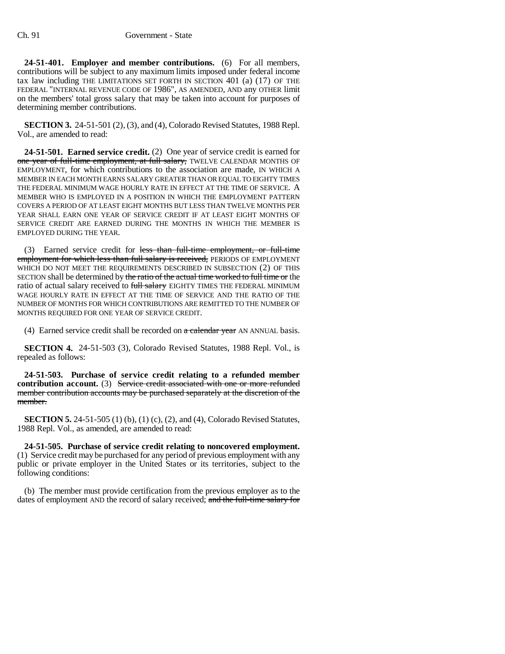**24-51-401. Employer and member contributions.** (6) For all members, contributions will be subject to any maximum limits imposed under federal income tax law including THE LIMITATIONS SET FORTH IN SECTION 401 (a) (17) OF THE FEDERAL "INTERNAL REVENUE CODE OF 1986", AS AMENDED, AND any OTHER limit on the members' total gross salary that may be taken into account for purposes of determining member contributions.

**SECTION 3.** 24-51-501 (2), (3), and (4), Colorado Revised Statutes, 1988 Repl. Vol., are amended to read:

**24-51-501. Earned service credit.** (2) One year of service credit is earned for one year of full-time employment, at full salary, TWELVE CALENDAR MONTHS OF EMPLOYMENT, for which contributions to the association are made, IN WHICH A MEMBER IN EACH MONTH EARNS SALARY GREATER THAN OR EQUAL TO EIGHTY TIMES THE FEDERAL MINIMUM WAGE HOURLY RATE IN EFFECT AT THE TIME OF SERVICE. A MEMBER WHO IS EMPLOYED IN A POSITION IN WHICH THE EMPLOYMENT PATTERN COVERS A PERIOD OF AT LEAST EIGHT MONTHS BUT LESS THAN TWELVE MONTHS PER YEAR SHALL EARN ONE YEAR OF SERVICE CREDIT IF AT LEAST EIGHT MONTHS OF SERVICE CREDIT ARE EARNED DURING THE MONTHS IN WHICH THE MEMBER IS EMPLOYED DURING THE YEAR.

(3) Earned service credit for less than full-time employment, or full-time employment for which less than full salary is received, PERIODS OF EMPLOYMENT WHICH DO NOT MEET THE REQUIREMENTS DESCRIBED IN SUBSECTION (2) OF THIS SECTION shall be determined by the ratio of the actual time worked to full time or the ratio of actual salary received to full salary EIGHTY TIMES THE FEDERAL MINIMUM WAGE HOURLY RATE IN EFFECT AT THE TIME OF SERVICE AND THE RATIO OF THE NUMBER OF MONTHS FOR WHICH CONTRIBUTIONS ARE REMITTED TO THE NUMBER OF MONTHS REQUIRED FOR ONE YEAR OF SERVICE CREDIT.

(4) Earned service credit shall be recorded on  $a$  calendar year AN ANNUAL basis.

**SECTION 4.** 24-51-503 (3), Colorado Revised Statutes, 1988 Repl. Vol., is repealed as follows:

**24-51-503. Purchase of service credit relating to a refunded member contribution account.** (3) Service credit associated with one or more refunded member contribution accounts may be purchased separately at the discretion of the member.

**SECTION 5.** 24-51-505 (1) (b), (1) (c), (2), and (4), Colorado Revised Statutes, 1988 Repl. Vol., as amended, are amended to read:

**24-51-505. Purchase of service credit relating to noncovered employment.** (1) Service credit may be purchased for any period of previous employment with any public or private employer in the United States or its territories, subject to the following conditions:

(b) The member must provide certification from the previous employer as to the dates of employment AND the record of salary received; and the full-time salary for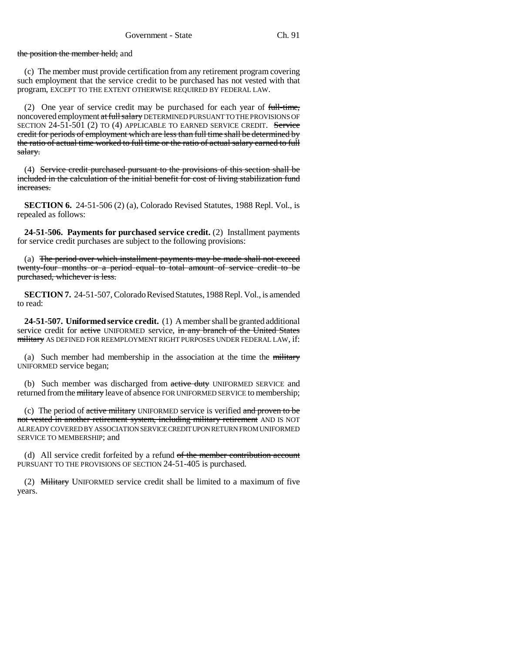the position the member held; and

(c) The member must provide certification from any retirement program covering such employment that the service credit to be purchased has not vested with that program, EXCEPT TO THE EXTENT OTHERWISE REQUIRED BY FEDERAL LAW.

(2) One year of service credit may be purchased for each year of full-time, noncovered employment at full salary DETERMINED PURSUANT TO THE PROVISIONS OF SECTION 24-51-501 (2) TO (4) APPLICABLE TO EARNED SERVICE CREDIT. Service credit for periods of employment which are less than full time shall be determined by the ratio of actual time worked to full time or the ratio of actual salary earned to full salary.

(4) Service credit purchased pursuant to the provisions of this section shall be included in the calculation of the initial benefit for cost of living stabilization fund increases.

**SECTION 6.** 24-51-506 (2) (a), Colorado Revised Statutes, 1988 Repl. Vol., is repealed as follows:

**24-51-506. Payments for purchased service credit.** (2) Installment payments for service credit purchases are subject to the following provisions:

(a) The period over which installment payments may be made shall not exceed twenty-four months or a period equal to total amount of service credit to be purchased, whichever is less.

**SECTION 7.** 24-51-507, Colorado Revised Statutes, 1988 Repl. Vol., is amended to read:

**24-51-507. Uniformed service credit.** (1) A member shall be granted additional service credit for active UNIFORMED service, in any branch of the United States military AS DEFINED FOR REEMPLOYMENT RIGHT PURPOSES UNDER FEDERAL LAW, if:

(a) Such member had membership in the association at the time the  $m$ -UNIFORMED service began;

(b) Such member was discharged from active duty UNIFORMED SERVICE and returned from the military leave of absence FOR UNIFORMED SERVICE to membership;

(c) The period of  $a$  active military UNIFORMED service is verified and proven to be not vested in another retirement system, including military retirement AND IS NOT ALREADY COVERED BY ASSOCIATION SERVICE CREDIT UPON RETURN FROM UNIFORMED SERVICE TO MEMBERSHIP; and

(d) All service credit forfeited by a refund of the member contribution account PURSUANT TO THE PROVISIONS OF SECTION 24-51-405 is purchased.

(2) Military UNIFORMED service credit shall be limited to a maximum of five years.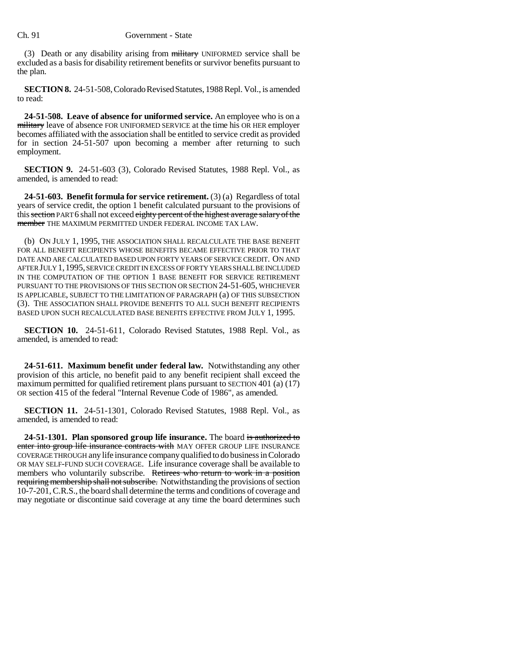(3) Death or any disability arising from military UNIFORMED service shall be excluded as a basis for disability retirement benefits or survivor benefits pursuant to the plan.

**SECTION 8.** 24-51-508, Colorado Revised Statutes, 1988 Repl. Vol., is amended to read:

**24-51-508. Leave of absence for uniformed service.** An employee who is on a military leave of absence FOR UNIFORMED SERVICE at the time his OR HER employer becomes affiliated with the association shall be entitled to service credit as provided for in section 24-51-507 upon becoming a member after returning to such employment.

**SECTION 9.** 24-51-603 (3), Colorado Revised Statutes, 1988 Repl. Vol., as amended, is amended to read:

**24-51-603. Benefit formula for service retirement.** (3) (a) Regardless of total years of service credit, the option 1 benefit calculated pursuant to the provisions of this section PART 6 shall not exceed eighty percent of the highest average salary of the member THE MAXIMUM PERMITTED UNDER FEDERAL INCOME TAX LAW.

(b) ON JULY 1, 1995, THE ASSOCIATION SHALL RECALCULATE THE BASE BENEFIT FOR ALL BENEFIT RECIPIENTS WHOSE BENEFITS BECAME EFFECTIVE PRIOR TO THAT DATE AND ARE CALCULATED BASED UPON FORTY YEARS OF SERVICE CREDIT. ON AND AFTER JULY 1,1995, SERVICE CREDIT IN EXCESS OF FORTY YEARS SHALL BE INCLUDED IN THE COMPUTATION OF THE OPTION 1 BASE BENEFIT FOR SERVICE RETIREMENT PURSUANT TO THE PROVISIONS OF THIS SECTION OR SECTION 24-51-605, WHICHEVER IS APPLICABLE, SUBJECT TO THE LIMITATION OF PARAGRAPH (a) OF THIS SUBSECTION (3). THE ASSOCIATION SHALL PROVIDE BENEFITS TO ALL SUCH BENEFIT RECIPIENTS BASED UPON SUCH RECALCULATED BASE BENEFITS EFFECTIVE FROM JULY 1, 1995.

**SECTION 10.** 24-51-611, Colorado Revised Statutes, 1988 Repl. Vol., as amended, is amended to read:

**24-51-611. Maximum benefit under federal law.** Notwithstanding any other provision of this article, no benefit paid to any benefit recipient shall exceed the maximum permitted for qualified retirement plans pursuant to SECTION 401 (a) (17) OR section 415 of the federal "Internal Revenue Code of 1986", as amended.

**SECTION 11.** 24-51-1301, Colorado Revised Statutes, 1988 Repl. Vol., as amended, is amended to read:

**24-51-1301. Plan sponsored group life insurance.** The board is authorized to enter into group life insurance contracts with MAY OFFER GROUP LIFE INSURANCE COVERAGE THROUGH any life insurance company qualified to do business in Colorado OR MAY SELF-FUND SUCH COVERAGE. Life insurance coverage shall be available to members who voluntarily subscribe. Retirees who return to work in a position requiring membership shall not subscribe. Notwithstanding the provisions of section 10-7-201, C.R.S., the board shall determine the terms and conditions of coverage and may negotiate or discontinue said coverage at any time the board determines such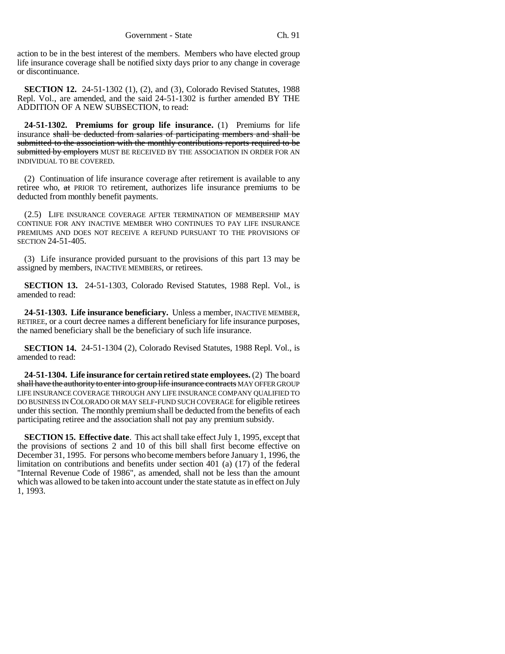action to be in the best interest of the members. Members who have elected group life insurance coverage shall be notified sixty days prior to any change in coverage or discontinuance.

**SECTION 12.** 24-51-1302 (1), (2), and (3), Colorado Revised Statutes, 1988 Repl. Vol., are amended, and the said 24-51-1302 is further amended BY THE ADDITION OF A NEW SUBSECTION, to read:

**24-51-1302. Premiums for group life insurance.** (1) Premiums for life insurance shall be deducted from salaries of participating members and shall be submitted to the association with the monthly contributions reports required to be submitted by employers MUST BE RECEIVED BY THE ASSOCIATION IN ORDER FOR AN INDIVIDUAL TO BE COVERED.

(2) Continuation of life insurance coverage after retirement is available to any retiree who, at PRIOR TO retirement, authorizes life insurance premiums to be deducted from monthly benefit payments.

(2.5) LIFE INSURANCE COVERAGE AFTER TERMINATION OF MEMBERSHIP MAY CONTINUE FOR ANY INACTIVE MEMBER WHO CONTINUES TO PAY LIFE INSURANCE PREMIUMS AND DOES NOT RECEIVE A REFUND PURSUANT TO THE PROVISIONS OF SECTION 24-51-405.

(3) Life insurance provided pursuant to the provisions of this part 13 may be assigned by members, INACTIVE MEMBERS, or retirees.

**SECTION 13.** 24-51-1303, Colorado Revised Statutes, 1988 Repl. Vol., is amended to read:

**24-51-1303. Life insurance beneficiary.** Unless a member, INACTIVE MEMBER, RETIREE, or a court decree names a different beneficiary for life insurance purposes, the named beneficiary shall be the beneficiary of such life insurance.

**SECTION 14.** 24-51-1304 (2), Colorado Revised Statutes, 1988 Repl. Vol., is amended to read:

**24-51-1304. Life insurance for certain retired state employees.** (2) The board shall have the authority to enter into group life insurance contracts MAY OFFER GROUP LIFE INSURANCE COVERAGE THROUGH ANY LIFE INSURANCE COMPANY QUALIFIED TO DO BUSINESS IN COLORADO OR MAY SELF-FUND SUCH COVERAGE for eligible retirees under this section. The monthly premium shall be deducted from the benefits of each participating retiree and the association shall not pay any premium subsidy.

**SECTION 15. Effective date**. This act shall take effect July 1, 1995, except that the provisions of sections 2 and 10 of this bill shall first become effective on December 31, 1995. For persons who become members before January 1, 1996, the limitation on contributions and benefits under section 401 (a) (17) of the federal "Internal Revenue Code of 1986", as amended, shall not be less than the amount which was allowed to be taken into account under the state statute as in effect on July 1, 1993.